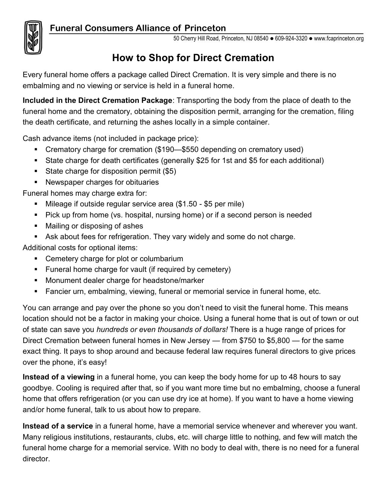

50 Cherry Hill Road, Princeton, NJ 08540 ● 609-924-3320 ● www.fcaprinceton.org

## How to Shop for Direct Cremation

Every funeral home offers a package called Direct Cremation. It is very simple and there is no embalming and no viewing or service is held in a funeral home.

Included in the Direct Cremation Package: Transporting the body from the place of death to the funeral home and the crematory, obtaining the disposition permit, arranging for the cremation, filing<br>the death certificate, and returning the ashes locally in a simple container. the death certificate, and returning the ashes locally in a simple container.

Cash advance items (not included in package price):

- sh advance items (not included in package price):<br>■ Crematory charge for cremation (\$190—\$550 depending on crematory used)
- State charge for death certificates (generally \$25 for 1st and \$5 for each additional)<br>■ State charge for disposition permit (\$5)<br>■ Newspaper charges for obituaries<br>● Mileage if outside regular service area (\$1.50 \$5
- State charge for disposition permit (\$5)
- Newspaper charges for obituaries

Funeral homes may charge extra for:

- Mileage if outside regular service area (\$1.50 \$5 per mile)
- Pick up from home (vs. hospital, nursing home) or if a second person is needed
- Mailing or disposing of ashes
- Ask about fees for refrigeration. They vary widely and some do not charge.

Additional costs for optional items:

- Cemetery charge for plot or columbarium
- Ask about fees for refrigeration. They vary widely and so<br>ditional costs for optional items:<br>■ Cemetery charge for plot or columbarium<br>■ Funeral home charge for vault (if required by cemetery)
- **Monument dealer charge for headstone/marker**
- 

■ Fancier urn, embalming, viewing, funeral or memorial service in funeral home, etc.<br>u can arrange and pay over the phone so you don't need to visit the funeral home. This<br>ation should not be a factor in making your choic You can arrange and pay over the phone so you don't need to visit the funeral home. This means location should not be a factor in making your choice. Using a funeral home that is out of town or out of state can save you *hundreds or even thousands of dollars!* There is a huge range of prices for Direct Cremation between funeral homes in New Jersey — from \$750 to \$5,800 exact thing. It pays to shop around and because federal law requires funeral directors to give prices over the phone, it's easy! irect Cremation. It is very simple and there is no<br>
n a funeral home.<br>
Transporting the body from the place of death to th<br>
disposition permit, arranging for the cremation, filin<br>
ocally in a simple container.<br>
price):<br>
—\$

Instead of a viewing in a funeral home, you can keep the body home for up to 48 hours to say goodbye. Cooling is required after that, so if you want more time but no embalming, choose a funeral goodbye. Cooling is required after that, so if you want more time but no embalming, choose a funera<br>home that offers refrigeration (or you can use dry ice at home). If you want to have a home viewing and/or home funeral, talk to us about how to prepare. use federal law requires funeral directors to give prices<br>can keep the body home for up to 48 hours to say<br>you want more time but no embalming, choose a funera<br>dry ice at home). If you want to have a home viewing<br>prepare.<br>

Instead of a service in a funeral home, have a memorial service whenever and wherever you want. Many religious institutions, restaurants, clubs, etc. will charge little to nothing, and few will match the **Instead of a service** in a funeral home, have a memorial service whenever and wherever you want.<br>Many religious institutions, restaurants, clubs, etc. will charge little to nothing, and few will match the<br>funeral home cha director.